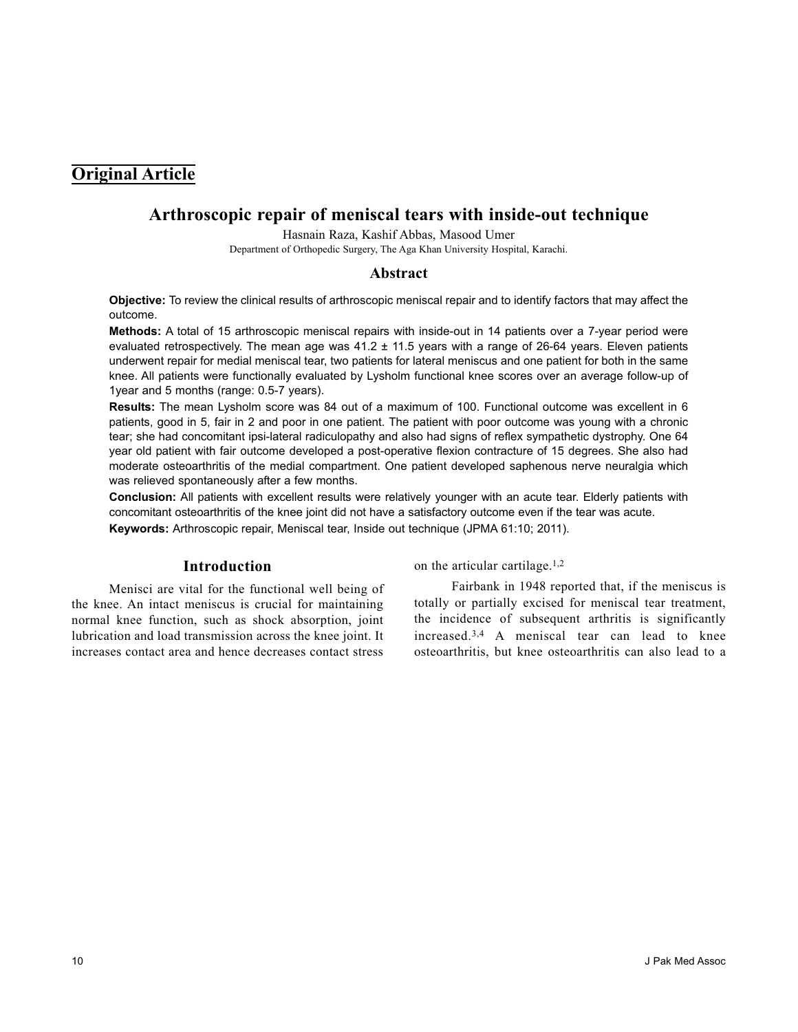# **Original Article**

# **Arthroscopic repair of meniscal tears with inside-out technique**

Hasnain Raza, Kashif Abbas, Masood Umer

Department of Orthopedic Surgery, The Aga Khan University Hospital, Karachi.

### **Abstract**

**Objective:** To review the clinical results of arthroscopic meniscal repair and to identify factors that may affect the outcome.

**Methods:** A total of 15 arthroscopic meniscal repairs with inside-out in 14 patients over a 7-year period were evaluated retrospectively. The mean age was  $41.2 \pm 11.5$  years with a range of 26-64 years. Eleven patients underwent repair for medial meniscal tear, two patients for lateral meniscus and one patient for both in the same knee. All patients were functionally evaluated by Lysholm functional knee scores over an average follow-up of 1year and 5 months (range: 0.5-7 years).

**Results:** The mean Lysholm score was 84 out of a maximum of 100. Functional outcome was excellent in 6 patients, good in 5, fair in 2 and poor in one patient. The patient with poor outcome was young with a chronic tear; she had concomitant ipsi-lateral radiculopathy and also had signs of reflex sympathetic dystrophy. One 64 year old patient with fair outcome developed a post-operative flexion contracture of 15 degrees. She also had moderate osteoarthritis of the medial compartment. One patient developed saphenous nerve neuralgia which was relieved spontaneously after a few months.

**Conclusion:** All patients with excellent results were relatively younger with an acute tear. Elderly patients with concomitant osteoarthritis of the knee joint did not have a satisfactory outcome even if the tear was acute.

**Keywords:** Arthroscopic repair, Meniscal tear, Inside out technique (JPMA 61:10; 2011).

# **Introduction**

Menisci are vital for the functional well being of the knee. An intact meniscus is crucial for maintaining normal knee function, such as shock absorption, joint lubrication and load transmission across the knee joint. It increases contact area and hence decreases contact stress

on the articular cartilage.1,2

Fairbank in 1948 reported that, if the meniscus is totally or partially excised for meniscal tear treatment, the incidence of subsequent arthritis is significantly increased.3,4 A meniscal tear can lead to knee osteoarthritis, but knee osteoarthritis can also lead to a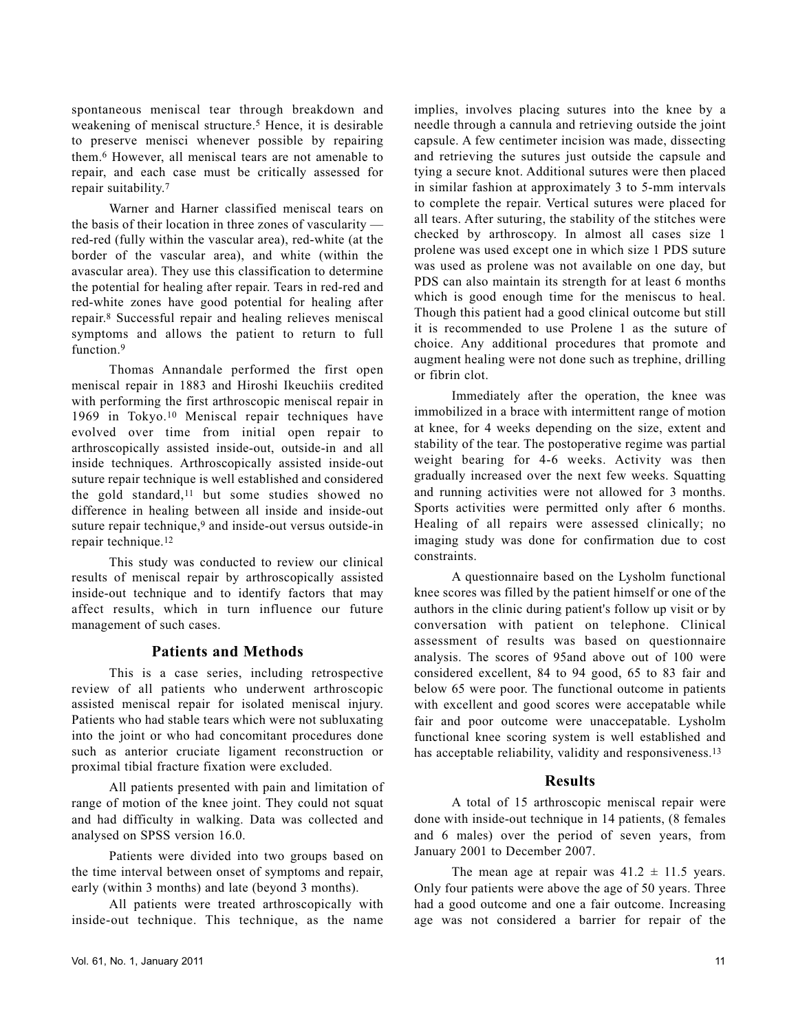spontaneous meniscal tear through breakdown and weakening of meniscal structure.<sup>5</sup> Hence, it is desirable to preserve menisci whenever possible by repairing them.<sup>6</sup> However, all meniscal tears are not amenable to repair, and each case must be critically assessed for repair suitability.<sup>7</sup>

Warner and Harner classified meniscal tears on the basis of their location in three zones of vascularity red-red (fully within the vascular area), red-white (at the border of the vascular area), and white (within the avascular area). They use this classification to determine the potential for healing after repair. Tears in red-red and red-white zones have good potential for healing after repair.<sup>8</sup> Successful repair and healing relieves meniscal symptoms and allows the patient to return to full function.<sup>9</sup>

Thomas Annandale performed the first open meniscal repair in 1883 and Hiroshi Ikeuchiis credited with performing the first arthroscopic meniscal repair in 1969 in Tokyo.<sup>10</sup> Meniscal repair techniques have evolved over time from initial open repair to arthroscopically assisted inside-out, outside-in and all inside techniques. Arthroscopically assisted inside-out suture repair technique is well established and considered the gold standard,<sup>11</sup> but some studies showed no difference in healing between all inside and inside-out suture repair technique,<sup>9</sup> and inside-out versus outside-in repair technique.<sup>12</sup>

This study was conducted to review our clinical results of meniscal repair by arthroscopically assisted inside-out technique and to identify factors that may affect results, which in turn influence our future management of such cases.

## **Patients and Methods**

This is a case series, including retrospective review of all patients who underwent arthroscopic assisted meniscal repair for isolated meniscal injury. Patients who had stable tears which were not subluxating into the joint or who had concomitant procedures done such as anterior cruciate ligament reconstruction or proximal tibial fracture fixation were excluded.

All patients presented with pain and limitation of range of motion of the knee joint. They could not squat and had difficulty in walking. Data was collected and analysed on SPSS version 16.0.

Patients were divided into two groups based on the time interval between onset of symptoms and repair, early (within 3 months) and late (beyond 3 months).

All patients were treated arthroscopically with inside-out technique. This technique, as the name implies, involves placing sutures into the knee by a needle through a cannula and retrieving outside the joint capsule. A few centimeter incision was made, dissecting and retrieving the sutures just outside the capsule and tying a secure knot. Additional sutures were then placed in similar fashion at approximately 3 to 5-mm intervals to complete the repair. Vertical sutures were placed for all tears. After suturing, the stability of the stitches were checked by arthroscopy. In almost all cases size 1 prolene was used except one in which size 1 PDS suture was used as prolene was not available on one day, but PDS can also maintain its strength for at least 6 months which is good enough time for the meniscus to heal. Though this patient had a good clinical outcome but still it is recommended to use Prolene 1 as the suture of choice. Any additional procedures that promote and augment healing were not done such as trephine, drilling or fibrin clot.

Immediately after the operation, the knee was immobilized in a brace with intermittent range of motion at knee, for 4 weeks depending on the size, extent and stability of the tear. The postoperative regime was partial weight bearing for 4-6 weeks. Activity was then gradually increased over the next few weeks. Squatting and running activities were not allowed for 3 months. Sports activities were permitted only after 6 months. Healing of all repairs were assessed clinically; no imaging study was done for confirmation due to cost constraints.

A questionnaire based on the Lysholm functional knee scores was filled by the patient himself or one of the authors in the clinic during patient's follow up visit or by conversation with patient on telephone. Clinical assessment of results was based on questionnaire analysis. The scores of 95and above out of 100 were considered excellent, 84 to 94 good, 65 to 83 fair and below 65 were poor. The functional outcome in patients with excellent and good scores were accepatable while fair and poor outcome were unaccepatable. Lysholm functional knee scoring system is well established and has acceptable reliability, validity and responsiveness.<sup>13</sup>

## **Results**

A total of 15 arthroscopic meniscal repair were done with inside-out technique in 14 patients, (8 females and 6 males) over the period of seven years, from January 2001 to December 2007.

The mean age at repair was  $41.2 \pm 11.5$  years. Only four patients were above the age of 50 years. Three had a good outcome and one a fair outcome. Increasing age was not considered a barrier for repair of the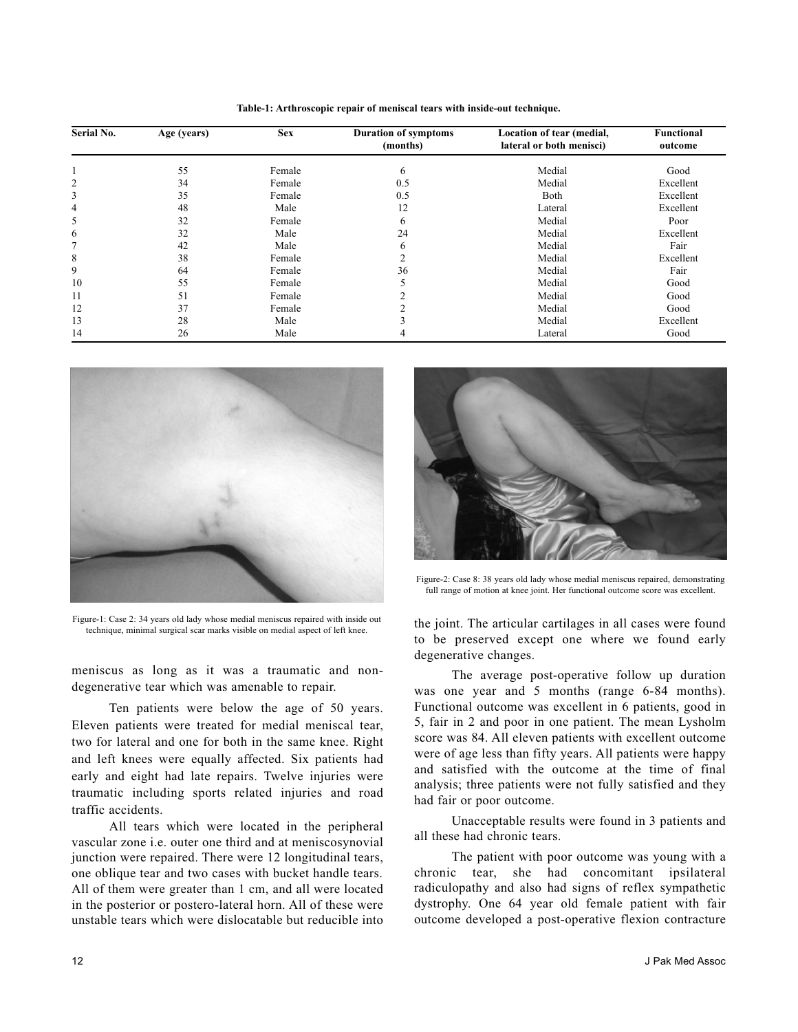| Serial No. | Age (years) | <b>Sex</b> | <b>Duration of symptoms</b><br>(months) | Location of tear (medial,<br>lateral or both menisci) | Functional<br>outcome |
|------------|-------------|------------|-----------------------------------------|-------------------------------------------------------|-----------------------|
|            |             |            |                                         |                                                       |                       |
|            | 55          | Female     | 6                                       | Medial                                                | Good                  |
| 2          | 34          | Female     | 0.5                                     | Medial                                                | Excellent             |
| 3          | 35          | Female     | 0.5                                     | Both                                                  | Excellent             |
| 4          | 48          | Male       | 12                                      | Lateral                                               | Excellent             |
| 5          | 32          | Female     | 6                                       | Medial                                                | Poor                  |
| 6          | 32          | Male       | 24                                      | Medial                                                | Excellent             |
| 7          | 42          | Male       | 6                                       | Medial                                                | Fair                  |
| 8          | 38          | Female     | 2                                       | Medial                                                | Excellent             |
| 9          | 64          | Female     | 36                                      | Medial                                                | Fair                  |
| 10         | 55          | Female     |                                         | Medial                                                | Good                  |
| 11         | 51          | Female     |                                         | Medial                                                | Good                  |
| 12         | 37          | Female     |                                         | Medial                                                | Good                  |
| 13         | 28          | Male       |                                         | Medial                                                | Excellent             |
| 14         | 26          | Male       |                                         | Lateral                                               | Good                  |

**Table-1: Arthroscopic repair of meniscal tears with inside-out technique.**



Figure-1: Case 2: 34 years old lady whose medial meniscus repaired with inside out technique, minimal surgical scar marks visible on medial aspect of left knee.

meniscus as long as it was a traumatic and nondegenerative tear which was amenable to repair.

Ten patients were below the age of 50 years. Eleven patients were treated for medial meniscal tear, two for lateral and one for both in the same knee. Right and left knees were equally affected. Six patients had early and eight had late repairs. Twelve injuries were traumatic including sports related injuries and road traffic accidents.

All tears which were located in the peripheral vascular zone i.e. outer one third and at meniscosynovial junction were repaired. There were 12 longitudinal tears, one oblique tear and two cases with bucket handle tears. All of them were greater than 1 cm, and all were located in the posterior or postero-lateral horn. All of these were unstable tears which were dislocatable but reducible into



Figure-2: Case 8: 38 years old lady whose medial meniscus repaired, demonstrating full range of motion at knee joint. Her functional outcome score was excellent.

the joint. The articular cartilages in all cases were found to be preserved except one where we found early degenerative changes.

The average post-operative follow up duration was one year and 5 months (range 6-84 months). Functional outcome was excellent in 6 patients, good in 5, fair in 2 and poor in one patient. The mean Lysholm score was 84. All eleven patients with excellent outcome were of age less than fifty years. All patients were happy and satisfied with the outcome at the time of final analysis; three patients were not fully satisfied and they had fair or poor outcome.

Unacceptable results were found in 3 patients and all these had chronic tears.

The patient with poor outcome was young with a chronic tear, she had concomitant ipsilateral radiculopathy and also had signs of reflex sympathetic dystrophy. One 64 year old female patient with fair outcome developed a post-operative flexion contracture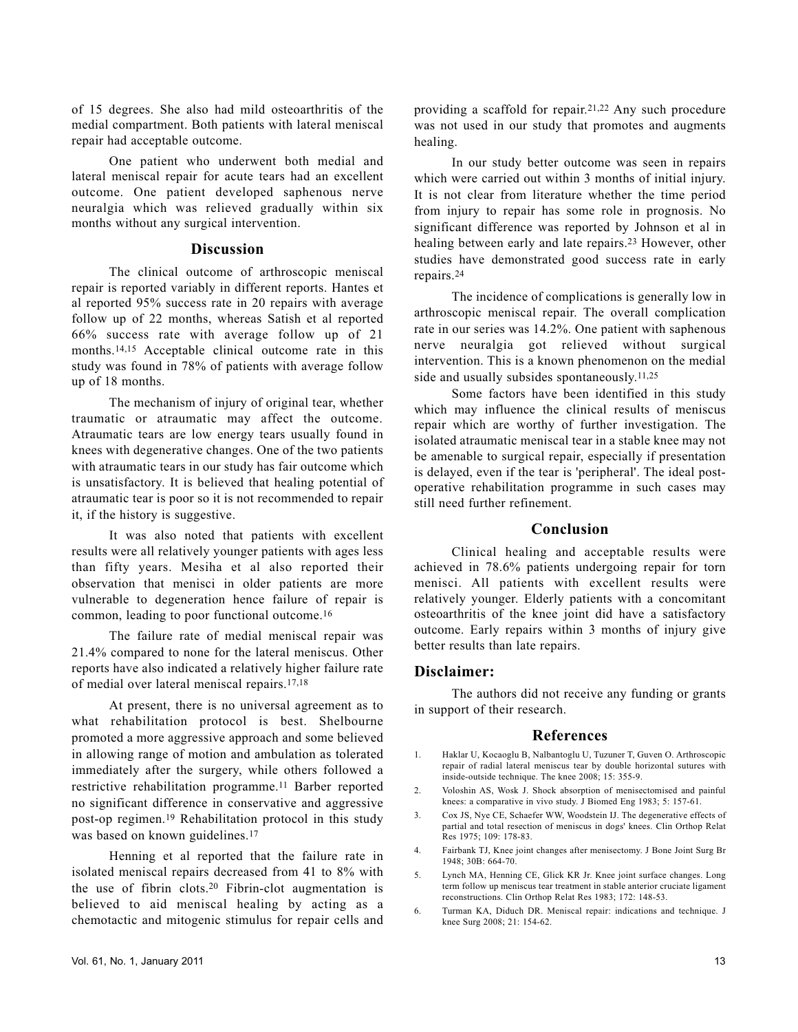of 15 degrees. She also had mild osteoarthritis of the medial compartment. Both patients with lateral meniscal repair had acceptable outcome.

One patient who underwent both medial and lateral meniscal repair for acute tears had an excellent outcome. One patient developed saphenous nerve neuralgia which was relieved gradually within six months without any surgical intervention.

#### **Discussion**

The clinical outcome of arthroscopic meniscal repair is reported variably in different reports. Hantes et al reported 95% success rate in 20 repairs with average follow up of 22 months, whereas Satish et al reported 66% success rate with average follow up of 21 months.14,15 Acceptable clinical outcome rate in this study was found in 78% of patients with average follow up of 18 months.

The mechanism of injury of original tear, whether traumatic or atraumatic may affect the outcome. Atraumatic tears are low energy tears usually found in knees with degenerative changes. One of the two patients with atraumatic tears in our study has fair outcome which is unsatisfactory. It is believed that healing potential of atraumatic tear is poor so it is not recommended to repair it, if the history is suggestive.

It was also noted that patients with excellent results were all relatively younger patients with ages less than fifty years. Mesiha et al also reported their observation that menisci in older patients are more vulnerable to degeneration hence failure of repair is common, leading to poor functional outcome.<sup>16</sup>

The failure rate of medial meniscal repair was 21.4% compared to none for the lateral meniscus. Other reports have also indicated a relatively higher failure rate of medial over lateral meniscal repairs.17,18

At present, there is no universal agreement as to what rehabilitation protocol is best. Shelbourne promoted a more aggressive approach and some believed in allowing range of motion and ambulation as tolerated immediately after the surgery, while others followed a restrictive rehabilitation programme.<sup>11</sup> Barber reported no significant difference in conservative and aggressive post-op regimen.<sup>19</sup> Rehabilitation protocol in this study was based on known guidelines.<sup>17</sup>

Henning et al reported that the failure rate in isolated meniscal repairs decreased from 41 to 8% with the use of fibrin clots.<sup>20</sup> Fibrin-clot augmentation is believed to aid meniscal healing by acting as a chemotactic and mitogenic stimulus for repair cells and

In our study better outcome was seen in repairs which were carried out within 3 months of initial injury. It is not clear from literature whether the time period from injury to repair has some role in prognosis. No significant difference was reported by Johnson et al in healing between early and late repairs.<sup>23</sup> However, other studies have demonstrated good success rate in early repairs.<sup>24</sup>

providing a scaffold for repair.21,22 Any such procedure

The incidence of complications is generally low in arthroscopic meniscal repair. The overall complication rate in our series was 14.2%. One patient with saphenous nerve neuralgia got relieved without surgical intervention. This is a known phenomenon on the medial side and usually subsides spontaneously.11,25

Some factors have been identified in this study which may influence the clinical results of meniscus repair which are worthy of further investigation. The isolated atraumatic meniscal tear in a stable knee may not be amenable to surgical repair, especially if presentation is delayed, even if the tear is 'peripheral'. The ideal postoperative rehabilitation programme in such cases may still need further refinement.

# **Conclusion**

Clinical healing and acceptable results were achieved in 78.6% patients undergoing repair for torn menisci. All patients with excellent results were relatively younger. Elderly patients with a concomitant osteoarthritis of the knee joint did have a satisfactory outcome. Early repairs within 3 months of injury give better results than late repairs.

#### **Disclaimer:**

The authors did not receive any funding or grants in support of their research.

#### **References**

- 1. Haklar U, Kocaoglu B, Nalbantoglu U, Tuzuner T, Guven O. Arthroscopic repair of radial lateral meniscus tear by double horizontal sutures with inside-outside technique. The knee 2008; 15: 355-9.
- 2. Voloshin AS, Wosk J. Shock absorption of menisectomised and painful knees: a comparative in vivo study. J Biomed Eng 1983; 5: 157-61.
- 3. Cox JS, Nye CE, Schaefer WW, Woodstein IJ. The degenerative effects of partial and total resection of meniscus in dogs' knees. Clin Orthop Relat Res 1975; 109: 178-83.
- 4. Fairbank TJ, Knee joint changes after menisectomy. J Bone Joint Surg Br 1948; 30B: 664-70.
- 5. Lynch MA, Henning CE, Glick KR Jr. Knee joint surface changes. Long term follow up meniscus tear treatment in stable anterior cruciate ligament reconstructions. Clin Orthop Relat Res 1983; 172: 148-53.
- 6. Turman KA, Diduch DR. Meniscal repair: indications and technique. J knee Surg 2008; 21: 154-62.